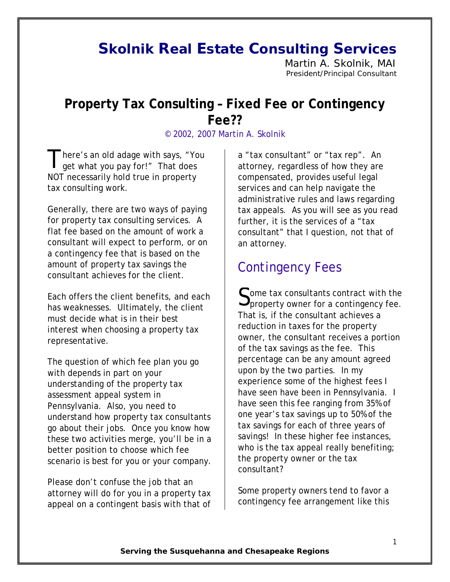# *Skolnik Real Estate Consulting Services*

*Martin A. Skolnik, MAI President/Principal Consultant*

#### **Property Tax Consulting – Fixed Fee or Contingency Fee??**

© 2002, 2007 Martin A. Skolnik

here's an old adage with says, "You get what you pay for!" That does NOT necessarily hold true in property tax consulting work. T

Generally, there are two ways of paying for property tax consulting services. A flat fee based on the amount of work a consultant will expect to perform, or on a contingency fee that is based on the amount of property tax savings the consultant achieves for the client.

Each offers the client benefits, and each has weaknesses. Ultimately, the client must decide what is in their best interest when choosing a property tax representative.

The question of which fee plan you go with depends in part on your understanding of the property tax assessment appeal system in Pennsylvania. Also, you need to understand how property tax consultants go about their jobs. Once you know how these two activities merge, you'll be in a better position to choose which fee scenario is best for you or your company.

Please don't confuse the job that an attorney will do for you in a property tax appeal on a contingent basis with that of a "tax consultant" or "tax rep". An attorney, regardless of how they are compensated, provides useful legal services and can help navigate the administrative rules and laws regarding tax appeals. As you will see as you read further, it is the services of a "tax consultant" that I question, not that of an attorney.

# Contingency Fees

 $\mathsf C$  ome tax consultants contract with the Some tax consultants contract with the<br>Sproperty owner for a contingency fee. That is, if the consultant achieves a reduction in taxes for the property owner, the consultant receives a portion of the tax savings as the fee. This percentage can be any amount agreed upon by the two parties. In my experience some of the highest fees I have seen have been in Pennsylvania. I have seen this fee ranging from 35% of one year's tax savings up to 50% of the tax savings for each of three years of savings! In these higher fee instances, who is the tax appeal really benefiting; the property owner or the tax consultant?

Some property owners tend to favor a contingency fee arrangement like this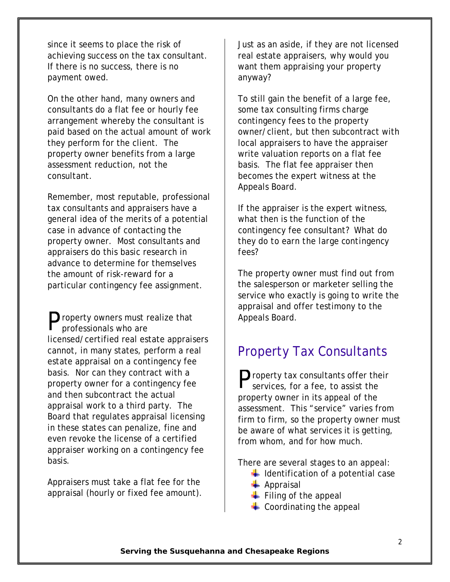since it seems to place the risk of achieving success on the tax consultant. If there is no success, there is no payment owed.

On the other hand, many owners and consultants do a flat fee or hourly fee arrangement whereby the consultant is paid based on the actual amount of work they perform for the client. The property owner benefits from a large assessment reduction, not the consultant.

Remember, most reputable, professional tax consultants and appraisers have a general idea of the merits of a potential case *in advance* of contacting the property owner. Most consultants and appraisers do this basic research in advance to determine for themselves the amount of risk-reward for a particular contingency fee assignment.

**P**roperty owners must realize that<br>professionals who are professionals who are licensed/certified real estate appraisers cannot, in many states, perform a real estate appraisal on a contingency fee basis. Nor can they contract with a property owner for a contingency fee and then *subcontract* the actual appraisal work to a third party. The Board that regulates appraisal licensing in these states can penalize, fine and even revoke the license of a certified appraiser working on a contingency fee basis.

Appraisers must take a flat fee for the appraisal (hourly or fixed fee amount). Just as an aside, if they are not licensed real estate appraisers, why would you want them appraising your property anyway?

To still gain the benefit of a large fee, some tax consulting firms charge contingency fees to the property owner/client, but then subcontract with local appraisers to have the appraiser write valuation reports on a flat fee basis. The flat fee appraiser then becomes the expert witness at the Appeals Board.

If the appraiser is the expert witness, what then is the function of the contingency fee consultant? *What do they do to earn the large contingency fees*?

The property owner must find out from the salesperson or marketer selling the service who exactly is going to write the appraisal and offer testimony to the Appeals Board.

# Property Tax Consultants

**P**roperty tax consultants offer their<br>services, for a fee, to assist the services, for a fee, to assist the property owner in its appeal of the assessment. This "service" varies from firm to firm, so the property owner must be aware of what services it is getting, from whom, and for how much.

There are several stages to an appeal:

- $\frac{1}{\sqrt{1}}$  Identification of a potential case
- $\overline{\phantom{a}}$  Appraisal
- $\ddot{\bullet}$  Filing of the appeal
- $\leftarrow$  Coordinating the appeal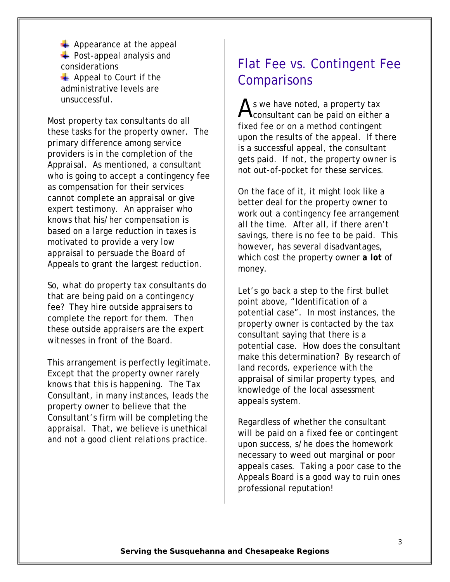$\leftarrow$  Appearance at the appeal  $\leftarrow$  Post-appeal analysis and considerations  $\leftarrow$  Appeal to Court if the administrative levels are

unsuccessful.

Most property tax consultants do all these tasks for the property owner. The primary difference among service providers is in the completion of the Appraisal. As mentioned, a consultant who is going to accept a contingency fee as compensation for their services cannot complete an appraisal or give expert testimony. An appraiser who knows that his/her compensation is based on a large reduction in taxes is motivated to provide a very low appraisal to persuade the Board of Appeals to grant the largest reduction.

So, what do property tax consultants do that are being paid on a contingency fee? They hire *outside* appraisers to complete the report for them. Then these outside appraisers are the expert witnesses in front of the Board.

This arrangement is perfectly legitimate. Except that the property owner rarely knows that this is happening. The Tax Consultant, in many instances, leads the property owner to believe that the Consultant's firm will be completing the appraisal. That, we believe is unethical and not a good client relations practice.

# Flat Fee vs. Contingent Fee **Comparisons**

s we have noted, a property tax consultant can be paid on either a fixed fee or on a method contingent upon the results of the appeal. If there is a successful appeal, the consultant gets paid. If not, the property owner is not out-of-pocket for these services. A

On the face of it, it might look like a better deal for the property owner to work out a contingency fee arrangement all the time. After all, if there aren't savings, there is no fee to be paid. This however, has several disadvantages, which cost the property owner *a lot* of money.

Let's go back a step to the first bullet point above, "Identification of a potential case". In most instances, the property owner is contacted by the tax consultant saying that there is a potential case. *How* does the consultant make this determination? By research of land records, experience with the appraisal of similar property types, and knowledge of the local assessment appeals system.

Regardless of whether the consultant will be paid on a fixed fee or contingent upon success, s/he does the homework necessary to weed out marginal or poor appeals cases. Taking a poor case to the Appeals Board is a good way to ruin ones professional reputation!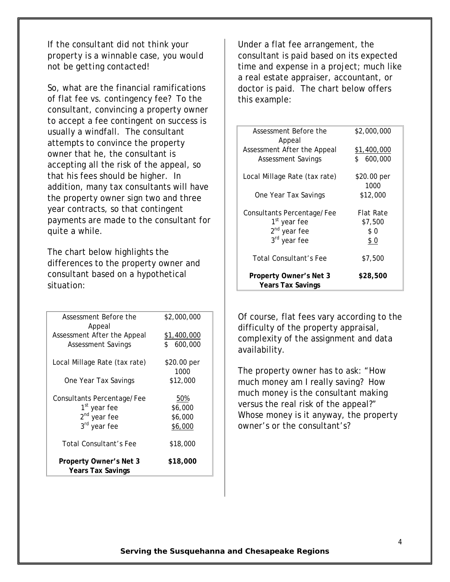*If the consultant did not think your property is a winnable case, you would not be getting contacted!*

So, what are the financial ramifications of flat fee vs. contingency fee? To the consultant, convincing a property owner to accept a fee contingent on success is usually a windfall. The consultant attempts to convince the property owner that he, the consultant is accepting all the risk of the appeal, so that his fees should be higher. In addition, many tax consultants will have the property owner sign two and three year contracts, so that contingent payments are made to the consultant for quite a while.

The chart below highlights the differences to the property owner and consultant based on a hypothetical situation:

| Assessment Before the<br>Appeal                           | \$2,000,000                   |
|-----------------------------------------------------------|-------------------------------|
| Assessment After the Appeal<br><b>Assessment Savings</b>  | \$1,400,000<br>\$.<br>600,000 |
|                                                           |                               |
| Local Millage Rate (tax rate)                             | \$20.00 per<br>1000           |
| One Year Tax Savings                                      | \$12,000                      |
| Consultants Percentage/Fee                                | 50%                           |
| 1 <sup>st</sup> year fee                                  | \$6,000                       |
| $2nd$ year fee                                            | \$6,000                       |
| 3 <sup>rd</sup> year fee                                  | \$6,000                       |
| <b>Total Consultant's Fee</b>                             | \$18,000                      |
| <b>Property Owner's Net 3</b><br><b>Years Tax Savings</b> | \$18,000                      |

Under a flat fee arrangement, the consultant is paid based on its expected time and expense in a project; much like a real estate appraiser, accountant, or doctor is paid. The chart below offers this example:

| Assessment Before the<br>Appeal                                                                                | \$2,000,000                        |
|----------------------------------------------------------------------------------------------------------------|------------------------------------|
| Assessment After the Appeal<br><b>Assessment Savings</b>                                                       | \$1,400,000<br>\$600,000           |
| Local Millage Rate (tax rate)                                                                                  | \$20.00 per<br>1000                |
| One Year Tax Savings                                                                                           | \$12,000                           |
| Consultants Percentage/Fee<br>1 <sup>st</sup> year fee<br>2 <sup>nd</sup> year fee<br>3 <sup>rd</sup> year fee | Flat Rate<br>\$7,500<br>\$0<br>\$0 |
| <b>Total Consultant's Fee</b>                                                                                  | \$7,500                            |
| <b>Property Owner's Net 3</b><br><b>Years Tax Savings</b>                                                      | \$28,500                           |

Of course, flat fees vary according to the difficulty of the property appraisal, complexity of the assignment and data availability.

The property owner has to ask: "How much money am I really saving? How much money is the consultant making versus the real risk of the appeal?" Whose money is it anyway, the property owner's or the consultant's?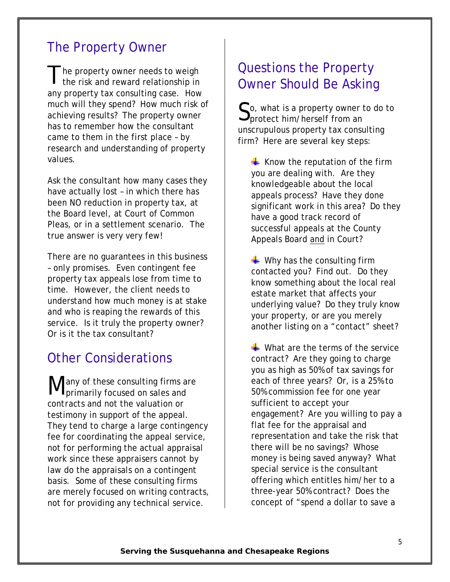### The Property Owner

he property owner needs to weigh the risk and reward relationship in any property tax consulting case. How much will they spend? How much risk of achieving results? The property owner has to remember *how* the consultant came to them in the first place – by research and understanding of property values. T

Ask the consultant how many cases they have actually lost – in which there has been NO reduction in property tax, at the Board level, at Court of Common Pleas, or in a settlement scenario. The true answer is very very few!

There are no guarantees in this business – only promises. Even contingent fee property tax appeals lose from time to time. However, the client needs to understand how much money is at stake and who is reaping the rewards of this service. Is it truly the property owner? Or is it the tax consultant?

# Other Considerations

Many of these consulting firms are<br>
Mprimarily focused on sales and primarily focused on *sales and contracts* and not the valuation or testimony in support of the appeal. They tend to charge a large contingency fee for coordinating the appeal service, not for performing the actual appraisal work since these appraisers cannot by law do the appraisals on a contingent basis. Some of these consulting firms are merely focused on writing contracts, not for providing any technical service.

# Questions the Property Owner Should Be Asking

 $\mathbf C$ o, what is a property owner to do to  $S<sub>protect</sub>$  him/herself from an unscrupulous property tax consulting firm? Here are several key steps:

 $\frac{1}{\sqrt{2}}$  Know the reputation of the firm you are dealing with. Are they knowledgeable about the local appeals process? Have they done significant work in this area? Do they have a good track record of successful appeals at the County Appeals Board and in Court?

 $\blacksquare$  Why has the consulting firm contacted you? Find out. Do they know something about the local real estate market that affects your underlying value? Do they truly know your property, or are you merely another listing on a "contact" sheet?

 $\frac{1}{\sqrt{2}}$  What are the terms of the service contract? Are they going to charge you as high as 50% of tax savings for each of three years? Or, is a 25% to 50% commission fee for one year sufficient to accept your engagement? Are you willing to pay a flat fee for the appraisal and representation and take the risk that there will be no savings? *Whose money is being saved anyway?* What special service is the consultant offering which entitles him/her to a three-year 50% contract? Does the concept of "spend a dollar to save a